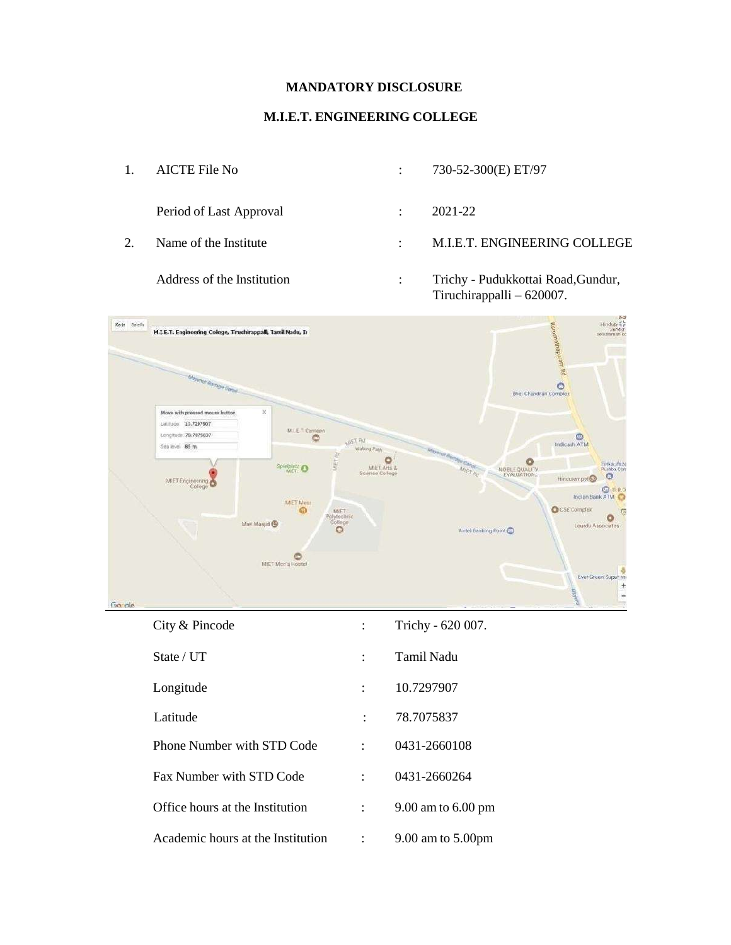#### **MANDATORY DISCLOSURE**

#### **M.I.E.T. ENGINEERING COLLEGE**

1. AICTE File No : 730-52-300(E) ET/97 Period of Last Approval : 2021-22 2. Name of the Institute : M.I.E.T. ENGINEERING COLLEGE Address of the Institution : Trichy - Pudukkottai Road, Gundur, Tiruchirappalli – 620007.



| City & Pincode                    | Trichy - 620 007.  |
|-----------------------------------|--------------------|
| State / UT                        | Tamil Nadu         |
| Longitude                         | 10.7297907         |
| Latitude                          | 78.7075837         |
| Phone Number with STD Code        | 0431-2660108       |
| Fax Number with STD Code          | 0431-2660264       |
| Office hours at the Institution   | 9.00 am to 6.00 pm |
| Academic hours at the Institution | 9.00 am to 5.00pm  |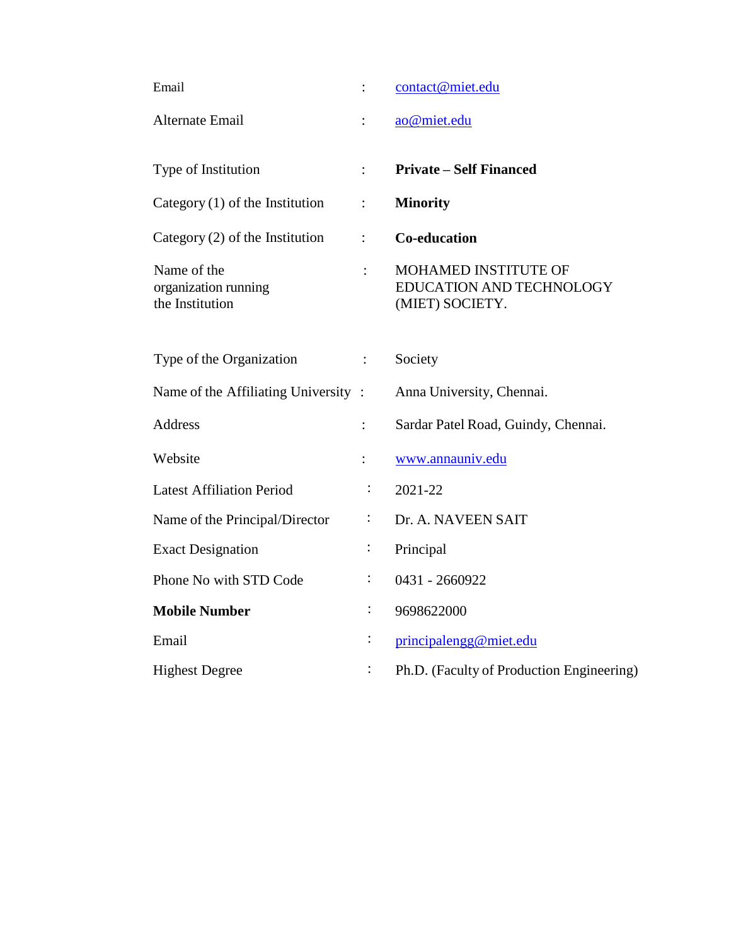| Email                                                  |                      | contact@miet.edu                                                    |
|--------------------------------------------------------|----------------------|---------------------------------------------------------------------|
| Alternate Email                                        | $\ddot{\cdot}$       | ao@miet.edu                                                         |
| Type of Institution                                    | $\ddot{\cdot}$       | <b>Private – Self Financed</b>                                      |
| Category $(1)$ of the Institution                      | $\ddot{\cdot}$       | <b>Minority</b>                                                     |
| Category $(2)$ of the Institution                      | $\ddot{\cdot}$       | <b>Co-education</b>                                                 |
| Name of the<br>organization running<br>the Institution | $\ddot{\cdot}$       | MOHAMED INSTITUTE OF<br>EDUCATION AND TECHNOLOGY<br>(MIET) SOCIETY. |
| Type of the Organization                               | $\sim 1000$          | Society                                                             |
| Name of the Affiliating University:                    |                      | Anna University, Chennai.                                           |
| <b>Address</b>                                         | $\ddot{\cdot}$       | Sardar Patel Road, Guindy, Chennai.                                 |
| Website                                                | $\ddot{\phantom{a}}$ | www.annauniv.edu                                                    |
| <b>Latest Affiliation Period</b>                       | $\ddot{\cdot}$       | 2021-22                                                             |
| Name of the Principal/Director                         | $\ddot{\cdot}$       | Dr. A. NAVEEN SAIT                                                  |
| <b>Exact Designation</b>                               | ÷,                   | Principal                                                           |
| Phone No with STD Code                                 | $\vdots$             | 0431 - 2660922                                                      |
| <b>Mobile Number</b>                                   | $\ddot{\phantom{a}}$ | 9698622000                                                          |
| Email                                                  | $\ddot{\cdot}$       | principalengg@miet.edu                                              |
| <b>Highest Degree</b>                                  | $\ddot{\cdot}$       | Ph.D. (Faculty of Production Engineering)                           |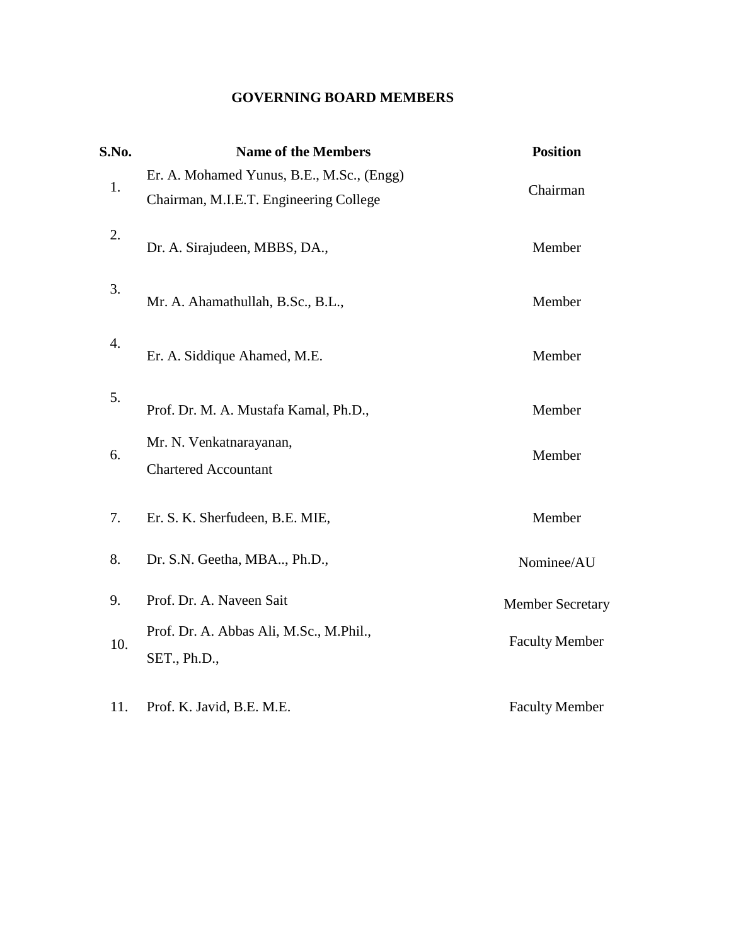### **GOVERNING BOARD MEMBERS**

| S.No. | <b>Name of the Members</b>                                                          | <b>Position</b>         |
|-------|-------------------------------------------------------------------------------------|-------------------------|
| 1.    | Er. A. Mohamed Yunus, B.E., M.Sc., (Engg)<br>Chairman, M.I.E.T. Engineering College | Chairman                |
| 2.    | Dr. A. Sirajudeen, MBBS, DA.,                                                       | Member                  |
| 3.    | Mr. A. Ahamathullah, B.Sc., B.L.,                                                   | Member                  |
| 4.    | Er. A. Siddique Ahamed, M.E.                                                        | Member                  |
| 5.    | Prof. Dr. M. A. Mustafa Kamal, Ph.D.,                                               | Member                  |
| 6.    | Mr. N. Venkatnarayanan,<br><b>Chartered Accountant</b>                              | Member                  |
| 7.    | Er. S. K. Sherfudeen, B.E. MIE,                                                     | Member                  |
| 8.    | Dr. S.N. Geetha, MBA, Ph.D.,                                                        | Nominee/AU              |
| 9.    | Prof. Dr. A. Naveen Sait                                                            | <b>Member Secretary</b> |
| 10.   | Prof. Dr. A. Abbas Ali, M.Sc., M.Phil.,<br>SET., Ph.D.,                             | <b>Faculty Member</b>   |
| 11.   | Prof. K. Javid, B.E. M.E.                                                           | <b>Faculty Member</b>   |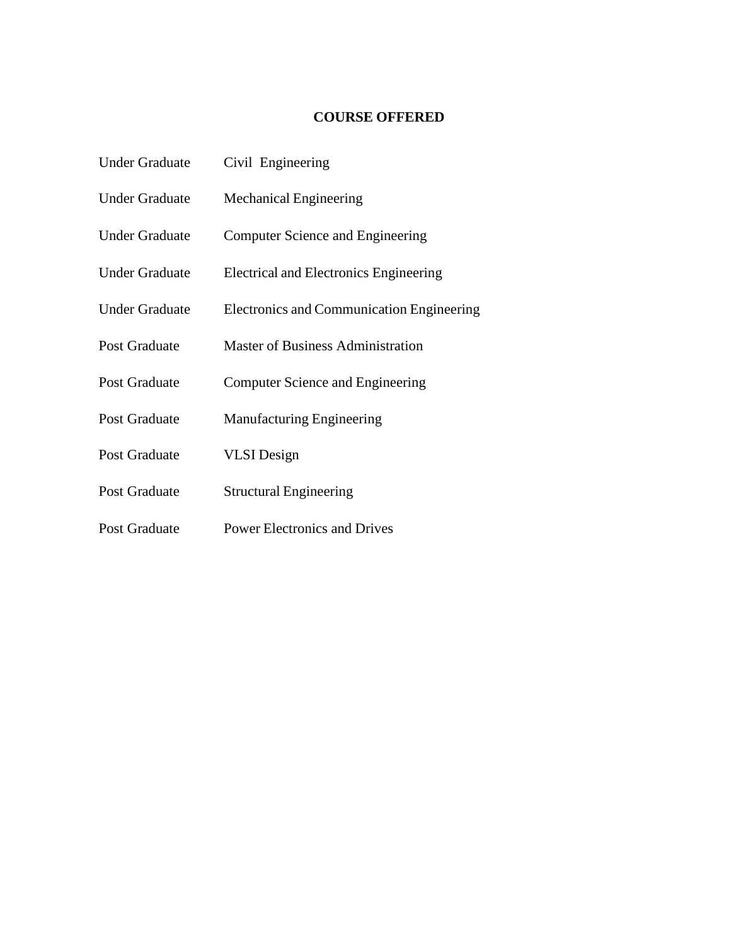### **COURSE OFFERED**

| <b>Under Graduate</b> | Civil Engineering                             |
|-----------------------|-----------------------------------------------|
| <b>Under Graduate</b> | <b>Mechanical Engineering</b>                 |
| <b>Under Graduate</b> | Computer Science and Engineering              |
| <b>Under Graduate</b> | <b>Electrical and Electronics Engineering</b> |
| <b>Under Graduate</b> | Electronics and Communication Engineering     |
| <b>Post Graduate</b>  | <b>Master of Business Administration</b>      |
| <b>Post Graduate</b>  | Computer Science and Engineering              |
| <b>Post Graduate</b>  | <b>Manufacturing Engineering</b>              |
| <b>Post Graduate</b>  | <b>VLSI</b> Design                            |
| <b>Post Graduate</b>  | <b>Structural Engineering</b>                 |
| Post Graduate         | <b>Power Electronics and Drives</b>           |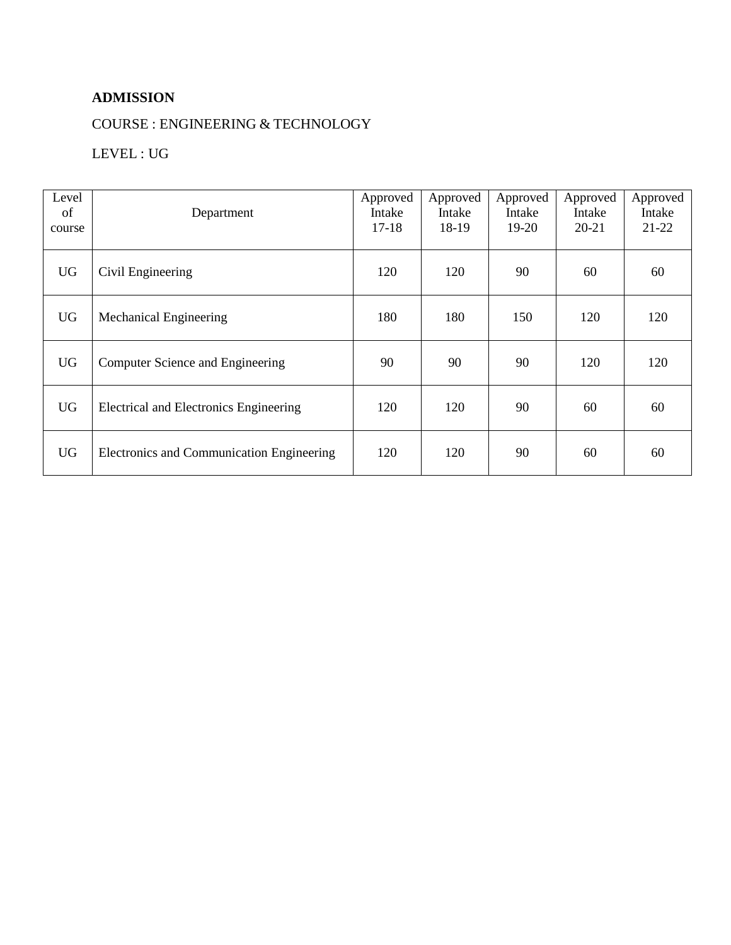### **ADMISSION**

### COURSE : ENGINEERING & TECHNOLOGY

## LEVEL : UG

| Level<br>of<br>course | Department                                | Approved<br>Intake<br>$17-18$ | Approved<br>Intake<br>18-19 | Approved<br>Intake<br>19-20 | Approved<br>Intake<br>20-21 | Approved<br>Intake<br>$21-22$ |
|-----------------------|-------------------------------------------|-------------------------------|-----------------------------|-----------------------------|-----------------------------|-------------------------------|
| <b>UG</b>             | Civil Engineering                         | 120                           | 120                         | 90                          | 60                          | 60                            |
| <b>UG</b>             | <b>Mechanical Engineering</b>             | 180                           | 180                         | 150                         | 120                         | 120                           |
| <b>UG</b>             | Computer Science and Engineering          | 90                            | 90                          | 90                          | 120                         | 120                           |
| <b>UG</b>             | Electrical and Electronics Engineering    | 120                           | 120                         | 90                          | 60                          | 60                            |
| <b>UG</b>             | Electronics and Communication Engineering | 120                           | 120                         | 90                          | 60                          | 60                            |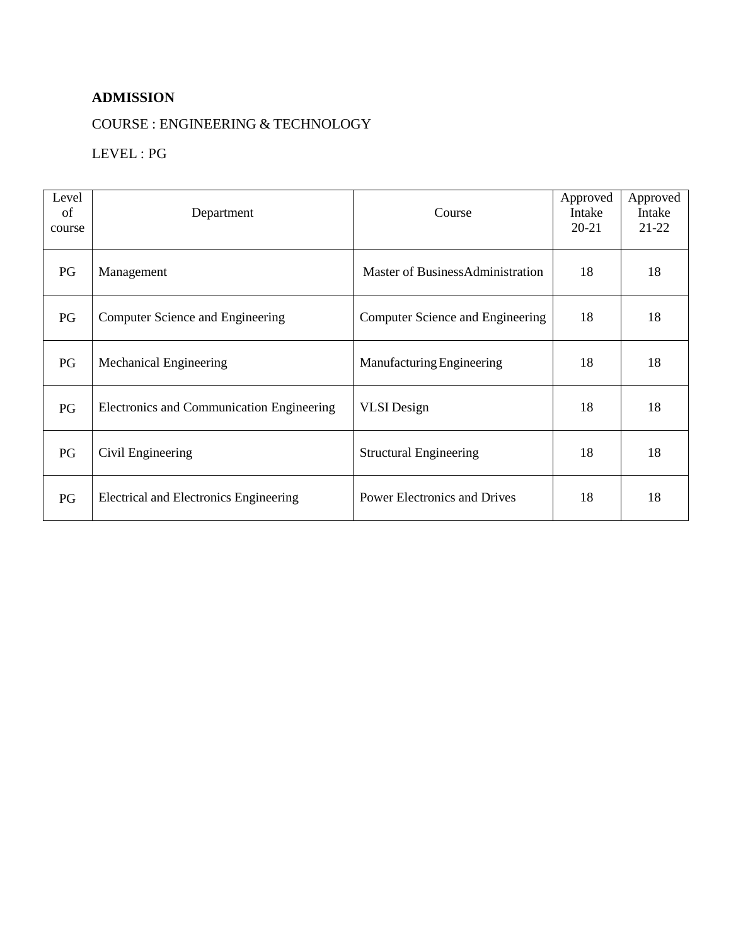### **ADMISSION**

### COURSE : ENGINEERING & TECHNOLOGY

## LEVEL : PG

| Level<br>of<br>course | Department                                    | Course                              | Approved<br>Intake<br>$20 - 21$ | Approved<br>Intake<br>$21-22$ |
|-----------------------|-----------------------------------------------|-------------------------------------|---------------------------------|-------------------------------|
| PG                    | Management                                    | Master of BusinessAdministration    | 18                              | 18                            |
| PG                    | Computer Science and Engineering              | Computer Science and Engineering    | 18                              | 18                            |
| PG                    | Mechanical Engineering                        | Manufacturing Engineering           | 18                              | 18                            |
| PG                    | Electronics and Communication Engineering     | <b>VLSI</b> Design                  | 18                              | 18                            |
| PG                    | Civil Engineering                             | <b>Structural Engineering</b>       | 18                              | 18                            |
| PG                    | <b>Electrical and Electronics Engineering</b> | <b>Power Electronics and Drives</b> | 18                              | 18                            |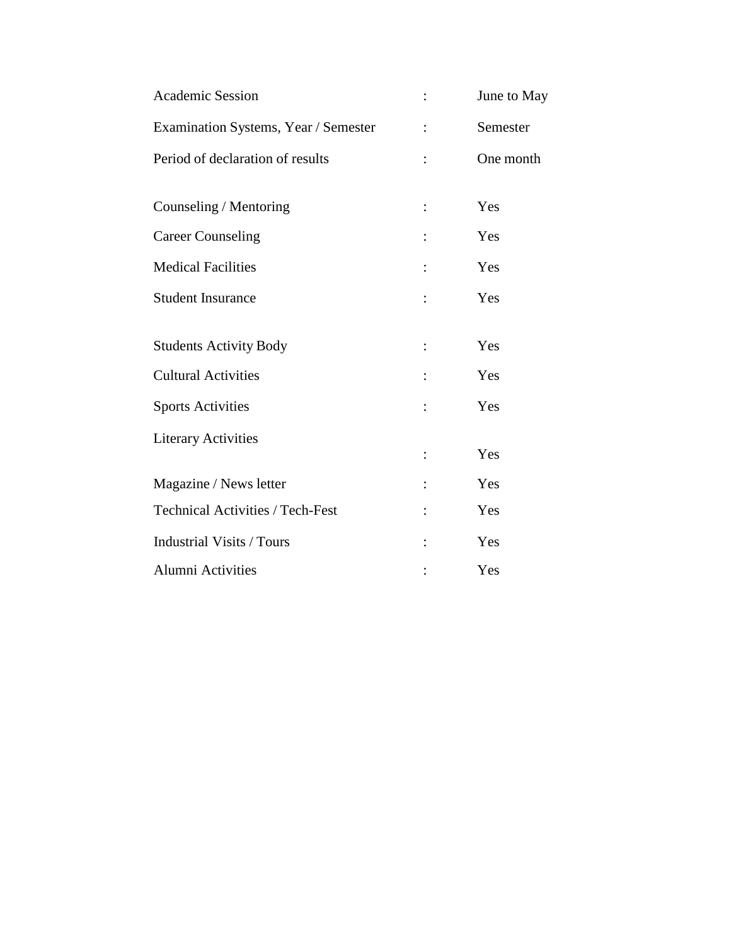| <b>Academic Session</b>                 | June to May |
|-----------------------------------------|-------------|
| Examination Systems, Year / Semester    | Semester    |
| Period of declaration of results        | One month   |
| Counseling / Mentoring                  | Yes         |
| <b>Career Counseling</b>                | Yes         |
| <b>Medical Facilities</b>               | Yes         |
| <b>Student Insurance</b>                | Yes         |
| <b>Students Activity Body</b>           | Yes         |
| <b>Cultural Activities</b>              | Yes         |
| <b>Sports Activities</b>                | Yes         |
| <b>Literary Activities</b>              | Yes         |
| Magazine / News letter                  | Yes         |
| <b>Technical Activities / Tech-Fest</b> | Yes         |
| <b>Industrial Visits / Tours</b>        | Yes         |
| Alumni Activities                       | Yes         |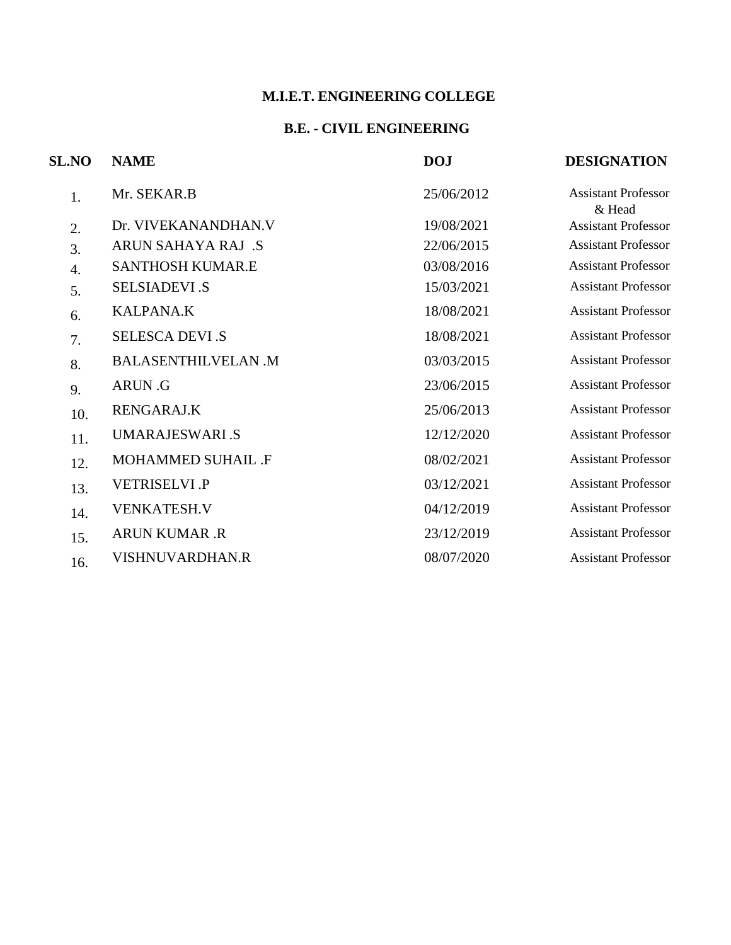#### **B.E. - CIVIL ENGINEERING**

| <b>SL.NO</b> | <b>NAME</b>               | <b>DOJ</b> | <b>DESIGNATION</b>                   |
|--------------|---------------------------|------------|--------------------------------------|
| 1.           | Mr. SEKAR.B               | 25/06/2012 | <b>Assistant Professor</b><br>& Head |
| 2.           | Dr. VIVEKANANDHAN.V       | 19/08/2021 | <b>Assistant Professor</b>           |
| 3.           | <b>ARUN SAHAYA RAJ .S</b> | 22/06/2015 | <b>Assistant Professor</b>           |
| 4.           | <b>SANTHOSH KUMAR.E</b>   | 03/08/2016 | <b>Assistant Professor</b>           |
| 5.           | <b>SELSIADEVI .S</b>      | 15/03/2021 | <b>Assistant Professor</b>           |
| 6.           | <b>KALPANA.K</b>          | 18/08/2021 | <b>Assistant Professor</b>           |
| 7.           | <b>SELESCA DEVI .S</b>    | 18/08/2021 | <b>Assistant Professor</b>           |
| 8.           | <b>BALASENTHILVELAN.M</b> | 03/03/2015 | <b>Assistant Professor</b>           |
| 9.           | ARUN .G                   | 23/06/2015 | <b>Assistant Professor</b>           |
| 10.          | <b>RENGARAJ.K</b>         | 25/06/2013 | <b>Assistant Professor</b>           |
| 11.          | <b>UMARAJESWARI.S</b>     | 12/12/2020 | <b>Assistant Professor</b>           |
| 12.          | <b>MOHAMMED SUHAIL .F</b> | 08/02/2021 | <b>Assistant Professor</b>           |
| 13.          | <b>VETRISELVI .P</b>      | 03/12/2021 | <b>Assistant Professor</b>           |
| 14.          | <b>VENKATESH.V</b>        | 04/12/2019 | <b>Assistant Professor</b>           |
| 15.          | <b>ARUN KUMAR .R</b>      | 23/12/2019 | <b>Assistant Professor</b>           |
| 16.          | VISHNUVARDHAN.R           | 08/07/2020 | <b>Assistant Professor</b>           |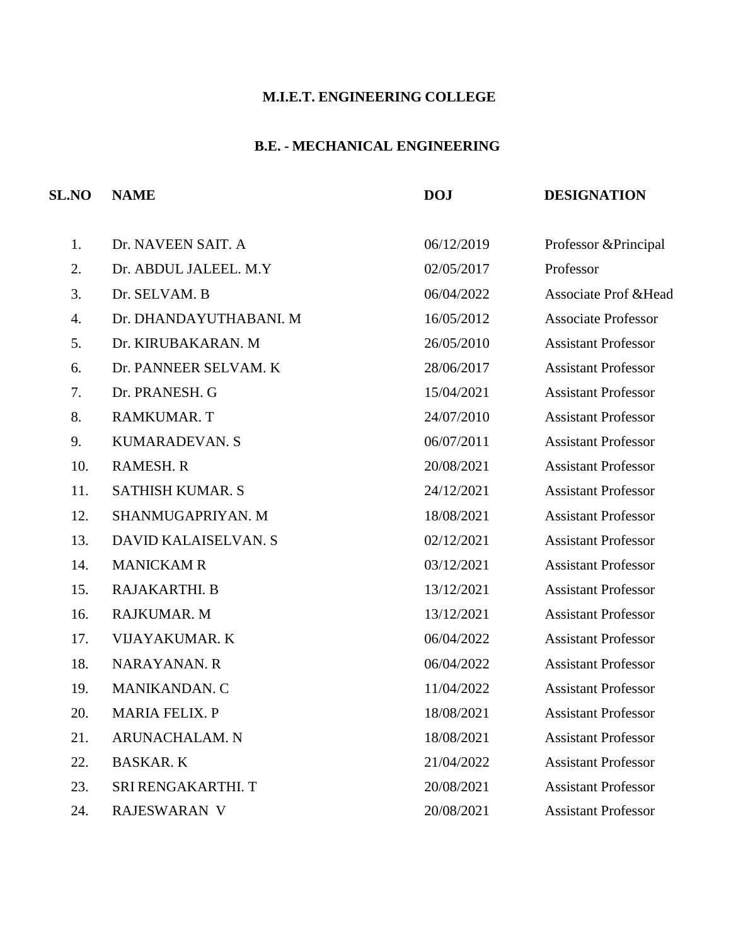## **B.E. - MECHANICAL ENGINEERING**

| <b>SL.NO</b> | <b>NAME</b>             | <b>DOJ</b> | <b>DESIGNATION</b>              |
|--------------|-------------------------|------------|---------------------------------|
| 1.           | Dr. NAVEEN SAIT. A      | 06/12/2019 | Professor & Principal           |
| 2.           | Dr. ABDUL JALEEL. M.Y   | 02/05/2017 | Professor                       |
| 3.           | Dr. SELVAM. B           | 06/04/2022 | <b>Associate Prof &amp;Head</b> |
| 4.           | Dr. DHANDAYUTHABANI. M  | 16/05/2012 | <b>Associate Professor</b>      |
| 5.           | Dr. KIRUBAKARAN. M      | 26/05/2010 | <b>Assistant Professor</b>      |
| 6.           | Dr. PANNEER SELVAM. K   | 28/06/2017 | <b>Assistant Professor</b>      |
| 7.           | Dr. PRANESH. G          | 15/04/2021 | <b>Assistant Professor</b>      |
| 8.           | <b>RAMKUMAR. T</b>      | 24/07/2010 | <b>Assistant Professor</b>      |
| 9.           | KUMARADEVAN. S          | 06/07/2011 | <b>Assistant Professor</b>      |
| 10.          | <b>RAMESH. R</b>        | 20/08/2021 | <b>Assistant Professor</b>      |
| 11.          | <b>SATHISH KUMAR. S</b> | 24/12/2021 | <b>Assistant Professor</b>      |
| 12.          | SHANMUGAPRIYAN. M       | 18/08/2021 | <b>Assistant Professor</b>      |
| 13.          | DAVID KALAISELVAN. S    | 02/12/2021 | <b>Assistant Professor</b>      |
| 14.          | <b>MANICKAMR</b>        | 03/12/2021 | <b>Assistant Professor</b>      |
| 15.          | RAJAKARTHI. B           | 13/12/2021 | <b>Assistant Professor</b>      |
| 16.          | RAJKUMAR. M             | 13/12/2021 | <b>Assistant Professor</b>      |
| 17.          | VIJAYAKUMAR. K          | 06/04/2022 | <b>Assistant Professor</b>      |
| 18.          | <b>NARAYANAN. R</b>     | 06/04/2022 | <b>Assistant Professor</b>      |
| 19.          | MANIKANDAN. C           | 11/04/2022 | <b>Assistant Professor</b>      |
| 20.          | <b>MARIA FELIX. P</b>   | 18/08/2021 | <b>Assistant Professor</b>      |
| 21.          | <b>ARUNACHALAM. N</b>   | 18/08/2021 | <b>Assistant Professor</b>      |
| 22.          | <b>BASKAR.K</b>         | 21/04/2022 | <b>Assistant Professor</b>      |
| 23.          | SRI RENGAKARTHI. T      | 20/08/2021 | <b>Assistant Professor</b>      |
| 24.          | <b>RAJESWARAN V</b>     | 20/08/2021 | <b>Assistant Professor</b>      |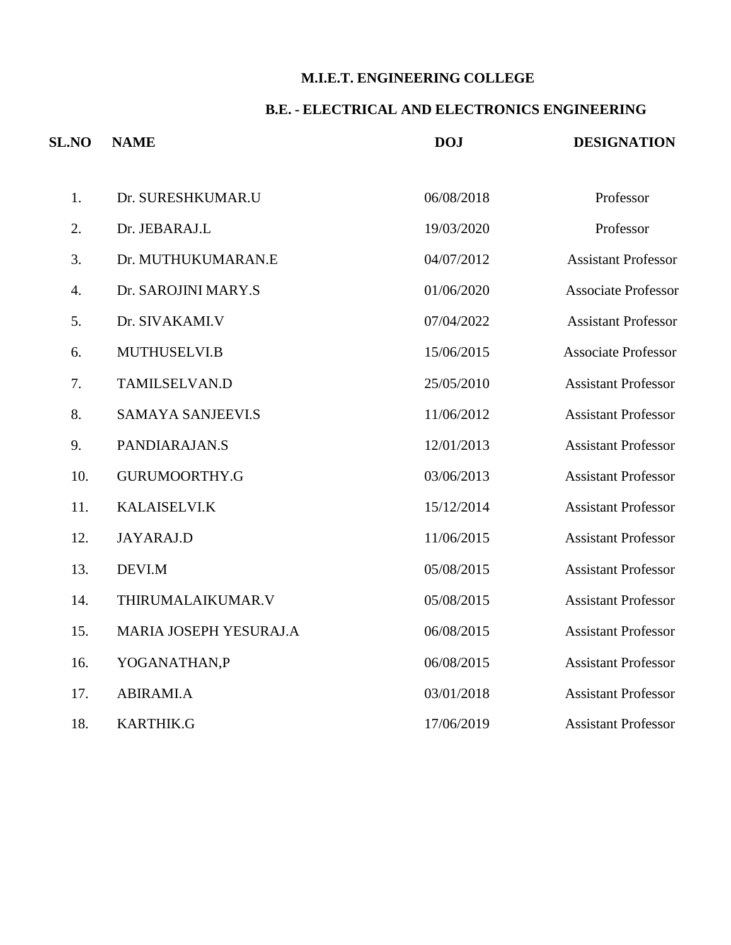### **B.E. - ELECTRICAL AND ELECTRONICS ENGINEERING**

| <b>SL.NO</b> | <b>NAME</b>              | <b>DOJ</b> | <b>DESIGNATION</b>         |
|--------------|--------------------------|------------|----------------------------|
| 1.           | Dr. SURESHKUMAR.U        | 06/08/2018 | Professor                  |
| 2.           | Dr. JEBARAJ.L            | 19/03/2020 | Professor                  |
| 3.           | Dr. MUTHUKUMARAN.E       | 04/07/2012 | <b>Assistant Professor</b> |
| 4.           | Dr. SAROJINI MARY.S      | 01/06/2020 | <b>Associate Professor</b> |
| 5.           | Dr. SIVAKAMI.V           | 07/04/2022 | <b>Assistant Professor</b> |
| 6.           | MUTHUSELVI.B             | 15/06/2015 | <b>Associate Professor</b> |
| 7.           | <b>TAMILSELVAN.D</b>     | 25/05/2010 | <b>Assistant Professor</b> |
| 8.           | <b>SAMAYA SANJEEVI.S</b> | 11/06/2012 | <b>Assistant Professor</b> |
| 9.           | PANDIARAJAN.S            | 12/01/2013 | <b>Assistant Professor</b> |
| 10.          | GURUMOORTHY.G            | 03/06/2013 | <b>Assistant Professor</b> |
| 11.          | <b>KALAISELVI.K</b>      | 15/12/2014 | <b>Assistant Professor</b> |
| 12.          | <b>JAYARAJ.D</b>         | 11/06/2015 | <b>Assistant Professor</b> |
| 13.          | DEVI.M                   | 05/08/2015 | <b>Assistant Professor</b> |
| 14.          | THIRUMALAIKUMAR.V        | 05/08/2015 | <b>Assistant Professor</b> |
| 15.          | MARIA JOSEPH YESURAJ.A   | 06/08/2015 | <b>Assistant Professor</b> |
| 16.          | YOGANATHAN, P            | 06/08/2015 | <b>Assistant Professor</b> |
| 17.          | ABIRAMI.A                | 03/01/2018 | <b>Assistant Professor</b> |
| 18.          | <b>KARTHIK.G</b>         | 17/06/2019 | <b>Assistant Professor</b> |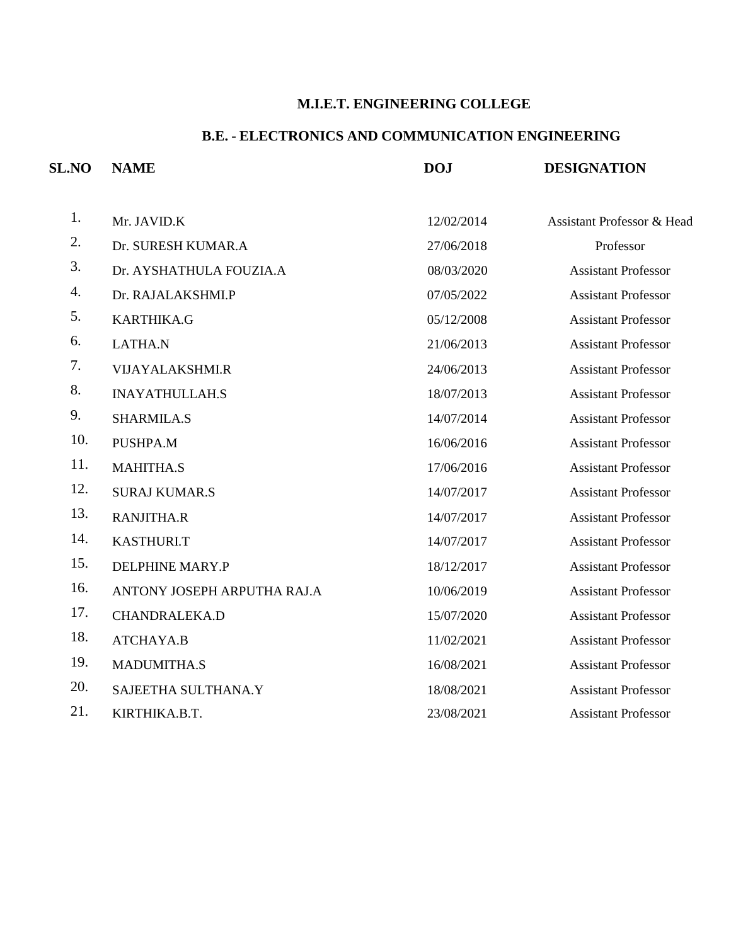### **B.E. - ELECTRONICS AND COMMUNICATION ENGINEERING**

| <b>SL.NO</b> | <b>NAME</b>                 | <b>DOJ</b> | <b>DESIGNATION</b>                    |
|--------------|-----------------------------|------------|---------------------------------------|
| 1.           | Mr. JAVID.K                 | 12/02/2014 | <b>Assistant Professor &amp; Head</b> |
| 2.           | Dr. SURESH KUMAR.A          | 27/06/2018 | Professor                             |
| 3.           | Dr. AYSHATHULA FOUZIA.A     | 08/03/2020 | <b>Assistant Professor</b>            |
| 4.           | Dr. RAJALAKSHMI.P           | 07/05/2022 | <b>Assistant Professor</b>            |
| 5.           | <b>KARTHIKA.G</b>           | 05/12/2008 | <b>Assistant Professor</b>            |
| 6.           | <b>LATHA.N</b>              | 21/06/2013 | <b>Assistant Professor</b>            |
| 7.           | <b>VIJAYALAKSHMI.R</b>      | 24/06/2013 | <b>Assistant Professor</b>            |
| 8.           | <b>INAYATHULLAH.S</b>       | 18/07/2013 | <b>Assistant Professor</b>            |
| 9.           | SHARMILA.S                  | 14/07/2014 | <b>Assistant Professor</b>            |
| 10.          | PUSHPA.M                    | 16/06/2016 | <b>Assistant Professor</b>            |
| 11.          | MAHITHA.S                   | 17/06/2016 | <b>Assistant Professor</b>            |
| 12.          | <b>SURAJ KUMAR.S</b>        | 14/07/2017 | <b>Assistant Professor</b>            |
| 13.          | <b>RANJITHA.R</b>           | 14/07/2017 | <b>Assistant Professor</b>            |
| 14.          | <b>KASTHURI.T</b>           | 14/07/2017 | <b>Assistant Professor</b>            |
| 15.          | DELPHINE MARY.P             | 18/12/2017 | <b>Assistant Professor</b>            |
| 16.          | ANTONY JOSEPH ARPUTHA RAJ.A | 10/06/2019 | <b>Assistant Professor</b>            |
| 17.          | <b>CHANDRALEKA.D</b>        | 15/07/2020 | <b>Assistant Professor</b>            |
| 18.          | ATCHAYA.B                   | 11/02/2021 | <b>Assistant Professor</b>            |
| 19.          | <b>MADUMITHA.S</b>          | 16/08/2021 | <b>Assistant Professor</b>            |
| 20.          | SAJEETHA SULTHANA.Y         | 18/08/2021 | <b>Assistant Professor</b>            |
| 21.          | KIRTHIKA.B.T.               | 23/08/2021 | <b>Assistant Professor</b>            |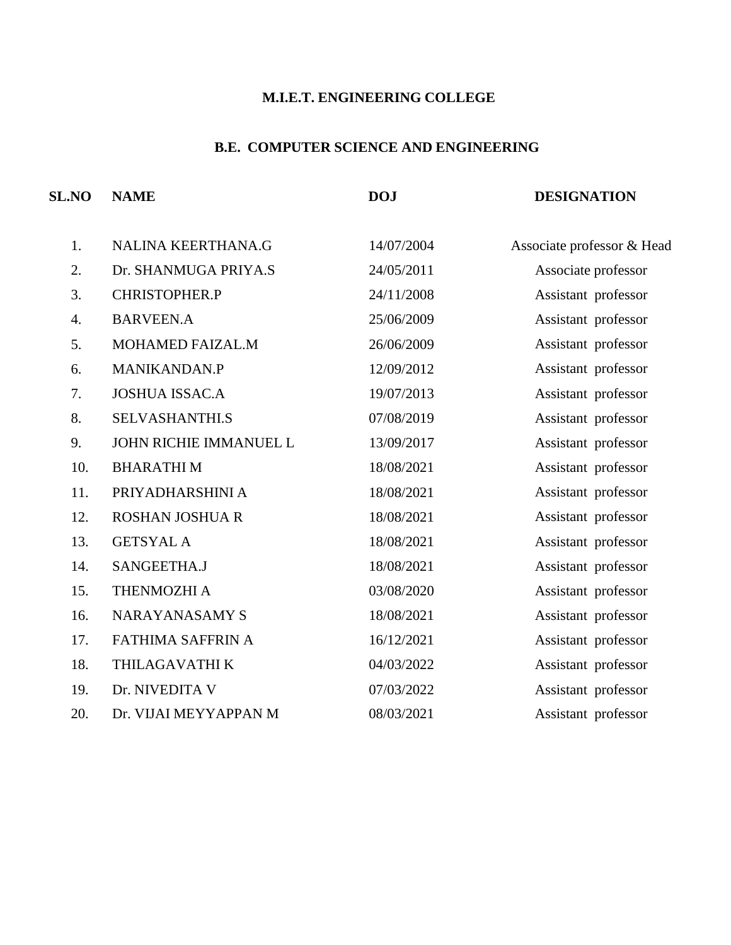### **B.E. COMPUTER SCIENCE AND ENGINEERING**

| <b>SL.NO</b> | <b>NAME</b>               | <b>DOJ</b> | <b>DESIGNATION</b>         |
|--------------|---------------------------|------------|----------------------------|
| 1.           | <b>NALINA KEERTHANA.G</b> | 14/07/2004 | Associate professor & Head |
| 2.           | Dr. SHANMUGA PRIYA.S      | 24/05/2011 | Associate professor        |
| 3.           | CHRISTOPHER.P             | 24/11/2008 | Assistant professor        |
| 4.           | <b>BARVEEN.A</b>          | 25/06/2009 | Assistant professor        |
| 5.           | MOHAMED FAIZAL.M          | 26/06/2009 | Assistant professor        |
| 6.           | MANIKANDAN.P              | 12/09/2012 | Assistant professor        |
| 7.           | <b>JOSHUA ISSAC.A</b>     | 19/07/2013 | Assistant professor        |
| 8.           | SELVASHANTHI.S            | 07/08/2019 | Assistant professor        |
| 9.           | JOHN RICHIE IMMANUEL L    | 13/09/2017 | Assistant professor        |
| 10.          | <b>BHARATHIM</b>          | 18/08/2021 | Assistant professor        |
| 11.          | PRIYADHARSHINI A          | 18/08/2021 | Assistant professor        |
| 12.          | <b>ROSHAN JOSHUA R</b>    | 18/08/2021 | Assistant professor        |
| 13.          | <b>GETSYAL A</b>          | 18/08/2021 | Assistant professor        |
| 14.          | SANGEETHA.J               | 18/08/2021 | Assistant professor        |
| 15.          | THENMOZHI A               | 03/08/2020 | Assistant professor        |
| 16.          | NARAYANASAMY S            | 18/08/2021 | Assistant professor        |
| 17.          | <b>FATHIMA SAFFRIN A</b>  | 16/12/2021 | Assistant professor        |
| 18.          | THILAGAVATHI K            | 04/03/2022 | Assistant professor        |
| 19.          | Dr. NIVEDITA V            | 07/03/2022 | Assistant professor        |
| 20.          | Dr. VIJAI MEYYAPPAN M     | 08/03/2021 | Assistant professor        |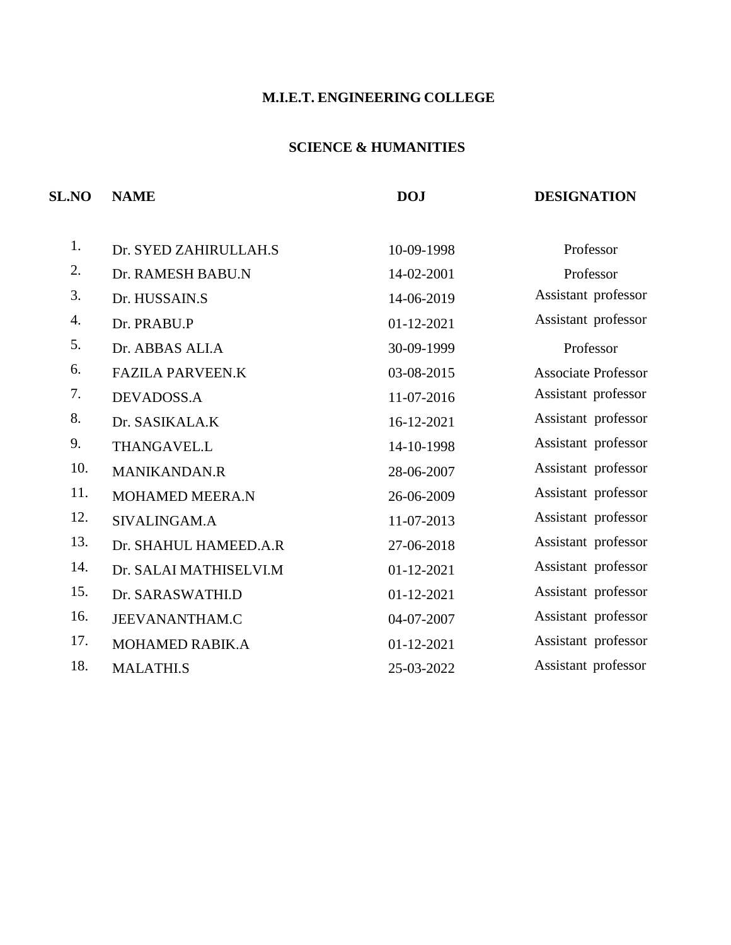### **SCIENCE & HUMANITIES**

| SL.NO | <b>NAME</b>             | <b>DOJ</b> | <b>DESIGNATION</b>         |
|-------|-------------------------|------------|----------------------------|
| 1.    | Dr. SYED ZAHIRULLAH.S   | 10-09-1998 | Professor                  |
| 2.    | Dr. RAMESH BABU.N       | 14-02-2001 | Professor                  |
| 3.    | Dr. HUSSAIN.S           | 14-06-2019 | Assistant professor        |
| 4.    | Dr. PRABU.P             | 01-12-2021 | Assistant professor        |
| 5.    | Dr. ABBAS ALI.A         | 30-09-1999 | Professor                  |
| 6.    | <b>FAZILA PARVEEN.K</b> | 03-08-2015 | <b>Associate Professor</b> |
| 7.    | DEVADOSS.A              | 11-07-2016 | Assistant professor        |
| 8.    | Dr. SASIKALA.K          | 16-12-2021 | Assistant professor        |
| 9.    | THANGAVEL.L             | 14-10-1998 | Assistant professor        |
| 10.   | <b>MANIKANDAN.R</b>     | 28-06-2007 | Assistant professor        |
| 11.   | MOHAMED MEERA.N         | 26-06-2009 | Assistant professor        |
| 12.   | SIVALINGAM.A            | 11-07-2013 | Assistant professor        |
| 13.   | Dr. SHAHUL HAMEED.A.R   | 27-06-2018 | Assistant professor        |
| 14.   | Dr. SALAI MATHISELVI.M  | 01-12-2021 | Assistant professor        |
| 15.   | Dr. SARASWATHI.D        | 01-12-2021 | Assistant professor        |
| 16.   | JEEVANANTHAM.C          | 04-07-2007 | Assistant professor        |
| 17.   | MOHAMED RABIK.A         | 01-12-2021 | Assistant professor        |
| 18.   | <b>MALATHI.S</b>        | 25-03-2022 | Assistant professor        |